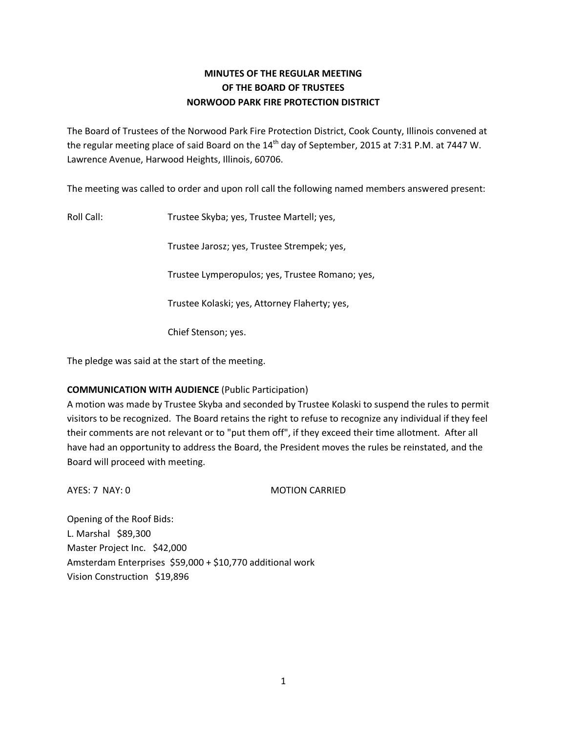# **MINUTES OF THE REGULAR MEETING OF THE BOARD OF TRUSTEES NORWOOD PARK FIRE PROTECTION DISTRICT**

The Board of Trustees of the Norwood Park Fire Protection District, Cook County, Illinois convened at the regular meeting place of said Board on the 14<sup>th</sup> day of September, 2015 at 7:31 P.M. at 7447 W. Lawrence Avenue, Harwood Heights, Illinois, 60706.

The meeting was called to order and upon roll call the following named members answered present:

Roll Call: Trustee Skyba; yes, Trustee Martell; yes,

Trustee Jarosz; yes, Trustee Strempek; yes,

Trustee Lymperopulos; yes, Trustee Romano; yes,

Trustee Kolaski; yes, Attorney Flaherty; yes,

Chief Stenson; yes.

The pledge was said at the start of the meeting.

# **COMMUNICATION WITH AUDIENCE** (Public Participation)

A motion was made by Trustee Skyba and seconded by Trustee Kolaski to suspend the rules to permit visitors to be recognized. The Board retains the right to refuse to recognize any individual if they feel their comments are not relevant or to "put them off", if they exceed their time allotment. After all have had an opportunity to address the Board, the President moves the rules be reinstated, and the Board will proceed with meeting.

AYES: 7 NAY: 0 MOTION CARRIED

Opening of the Roof Bids: L. Marshal \$89,300 Master Project Inc. \$42,000 Amsterdam Enterprises \$59,000 + \$10,770 additional work Vision Construction \$19,896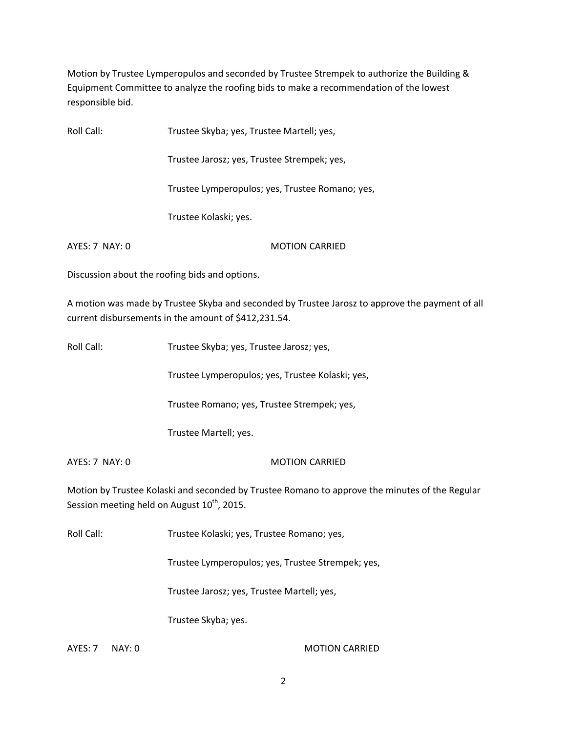Motion by Trustee Lymperopulos and seconded by Trustee Strempek to authorize the Building & Equipment Committee to analyze the roofing bids to make a recommendation of the lowest responsible bid.

Roll Call: Trustee Skyba; yes, Trustee Martell; yes,

Trustee Jarosz; yes, Trustee Strempek; yes,

Trustee Lymperopulos; yes, Trustee Romano; yes,

Trustee Kolaski; yes.

AYES: 7 NAY: 0 MOTION CARRIED

Discussion about the roofing bids and options.

A motion was made by Trustee Skyba and seconded by Trustee Jarosz to approve the payment of all current disbursements in the amount of \$412,231.54.

Roll Call: Trustee Skyba; yes, Trustee Jarosz; yes,

Trustee Lymperopulos; yes, Trustee Kolaski; yes,

Trustee Romano; yes, Trustee Strempek; yes,

Trustee Martell; yes.

AYES: 7 NAY: 0 MOTION CARRIED

Motion by Trustee Kolaski and seconded by Trustee Romano to approve the minutes of the Regular Session meeting held on August  $10^{th}$ , 2015.

Roll Call: Trustee Kolaski; yes, Trustee Romano; yes,

Trustee Lymperopulos; yes, Trustee Strempek; yes,

Trustee Jarosz; yes, Trustee Martell; yes,

Trustee Skyba; yes.

AYES: 7 NAY: 0 MOTION CARRIED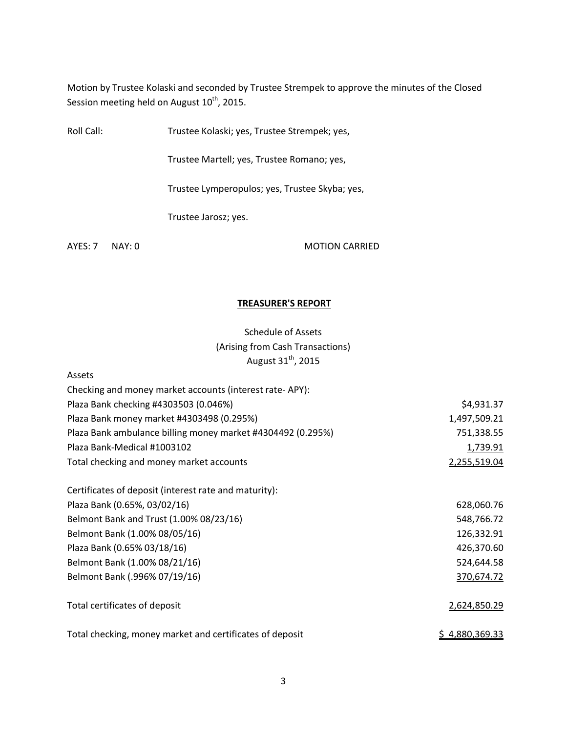Motion by Trustee Kolaski and seconded by Trustee Strempek to approve the minutes of the Closed Session meeting held on August 10<sup>th</sup>, 2015.

Roll Call: Trustee Kolaski; yes, Trustee Strempek; yes,

Trustee Martell; yes, Trustee Romano; yes,

Trustee Lymperopulos; yes, Trustee Skyba; yes,

Trustee Jarosz; yes.

Assets

AYES: 7 NAY: 0 MOTION CARRIED

#### **TREASURER'S REPORT**

Schedule of Assets (Arising from Cash Transactions) August  $31<sup>th</sup>$ , 2015

| Checking and money market accounts (interest rate-APY):     |                |
|-------------------------------------------------------------|----------------|
| Plaza Bank checking #4303503 (0.046%)                       | \$4,931.37     |
| Plaza Bank money market #4303498 (0.295%)                   | 1,497,509.21   |
| Plaza Bank ambulance billing money market #4304492 (0.295%) | 751,338.55     |
| Plaza Bank-Medical #1003102                                 | 1,739.91       |
| Total checking and money market accounts                    | 2,255,519.04   |
| Certificates of deposit (interest rate and maturity):       |                |
| Plaza Bank (0.65%, 03/02/16)                                | 628,060.76     |
| Belmont Bank and Trust (1.00% 08/23/16)                     | 548,766.72     |
| Belmont Bank (1.00% 08/05/16)                               | 126,332.91     |
| Plaza Bank (0.65% 03/18/16)                                 | 426,370.60     |
| Belmont Bank (1.00% 08/21/16)                               | 524,644.58     |
| Belmont Bank (.996% 07/19/16)                               | 370,674.72     |
| Total certificates of deposit                               | 2,624,850.29   |
| Total checking, money market and certificates of deposit    | \$4,880,369.33 |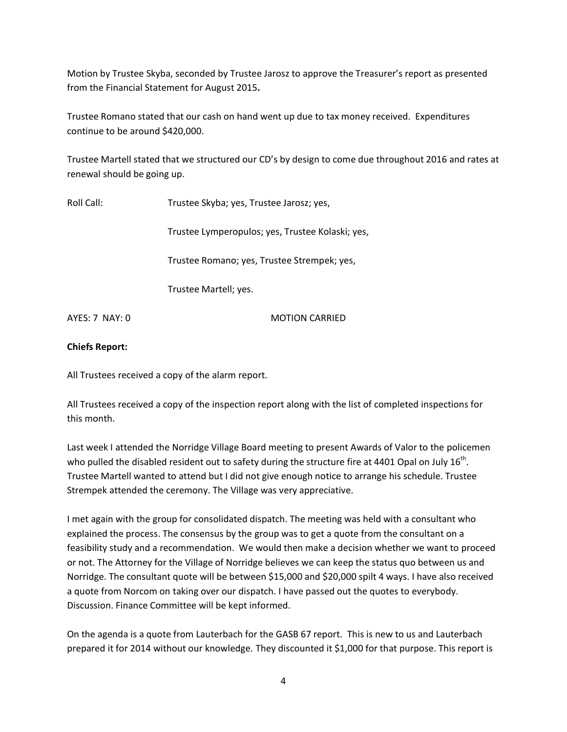Motion by Trustee Skyba, seconded by Trustee Jarosz to approve the Treasurer's report as presented from the Financial Statement for August 2015**.** 

Trustee Romano stated that our cash on hand went up due to tax money received. Expenditures continue to be around \$420,000.

Trustee Martell stated that we structured our CD's by design to come due throughout 2016 and rates at renewal should be going up.

Roll Call: Trustee Skyba; yes, Trustee Jarosz; yes,

Trustee Lymperopulos; yes, Trustee Kolaski; yes,

Trustee Romano; yes, Trustee Strempek; yes,

Trustee Martell; yes.

AYES: 7 NAY: 0 MOTION CARRIED

### **Chiefs Report:**

All Trustees received a copy of the alarm report.

All Trustees received a copy of the inspection report along with the list of completed inspections for this month.

Last week I attended the Norridge Village Board meeting to present Awards of Valor to the policemen who pulled the disabled resident out to safety during the structure fire at 4401 Opal on July 16<sup>th</sup>. Trustee Martell wanted to attend but I did not give enough notice to arrange his schedule. Trustee Strempek attended the ceremony. The Village was very appreciative.

I met again with the group for consolidated dispatch. The meeting was held with a consultant who explained the process. The consensus by the group was to get a quote from the consultant on a feasibility study and a recommendation. We would then make a decision whether we want to proceed or not. The Attorney for the Village of Norridge believes we can keep the status quo between us and Norridge. The consultant quote will be between \$15,000 and \$20,000 spilt 4 ways. I have also received a quote from Norcom on taking over our dispatch. I have passed out the quotes to everybody. Discussion. Finance Committee will be kept informed.

On the agenda is a quote from Lauterbach for the GASB 67 report. This is new to us and Lauterbach prepared it for 2014 without our knowledge. They discounted it \$1,000 for that purpose. This report is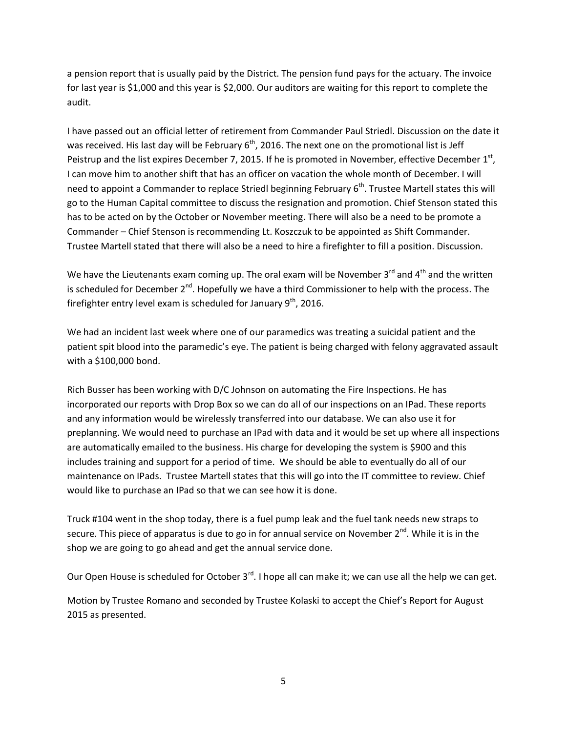a pension report that is usually paid by the District. The pension fund pays for the actuary. The invoice for last year is \$1,000 and this year is \$2,000. Our auditors are waiting for this report to complete the audit.

I have passed out an official letter of retirement from Commander Paul Striedl. Discussion on the date it was received. His last day will be February  $6<sup>th</sup>$ , 2016. The next one on the promotional list is Jeff Peistrup and the list expires December 7, 2015. If he is promoted in November, effective December  $1<sup>st</sup>$ , I can move him to another shift that has an officer on vacation the whole month of December. I will need to appoint a Commander to replace Striedl beginning February  $6<sup>th</sup>$ . Trustee Martell states this will go to the Human Capital committee to discuss the resignation and promotion. Chief Stenson stated this has to be acted on by the October or November meeting. There will also be a need to be promote a Commander – Chief Stenson is recommending Lt. Koszczuk to be appointed as Shift Commander. Trustee Martell stated that there will also be a need to hire a firefighter to fill a position. Discussion.

We have the Lieutenants exam coming up. The oral exam will be November 3<sup>rd</sup> and 4<sup>th</sup> and the written is scheduled for December  $2^{nd}$ . Hopefully we have a third Commissioner to help with the process. The firefighter entry level exam is scheduled for January 9<sup>th</sup>, 2016.

We had an incident last week where one of our paramedics was treating a suicidal patient and the patient spit blood into the paramedic's eye. The patient is being charged with felony aggravated assault with a \$100,000 bond.

Rich Busser has been working with D/C Johnson on automating the Fire Inspections. He has incorporated our reports with Drop Box so we can do all of our inspections on an IPad. These reports and any information would be wirelessly transferred into our database. We can also use it for preplanning. We would need to purchase an IPad with data and it would be set up where all inspections are automatically emailed to the business. His charge for developing the system is \$900 and this includes training and support for a period of time. We should be able to eventually do all of our maintenance on IPads. Trustee Martell states that this will go into the IT committee to review. Chief would like to purchase an IPad so that we can see how it is done.

Truck #104 went in the shop today, there is a fuel pump leak and the fuel tank needs new straps to secure. This piece of apparatus is due to go in for annual service on November 2<sup>nd</sup>. While it is in the shop we are going to go ahead and get the annual service done.

Our Open House is scheduled for October  $3<sup>rd</sup>$ . I hope all can make it; we can use all the help we can get.

Motion by Trustee Romano and seconded by Trustee Kolaski to accept the Chief's Report for August 2015 as presented.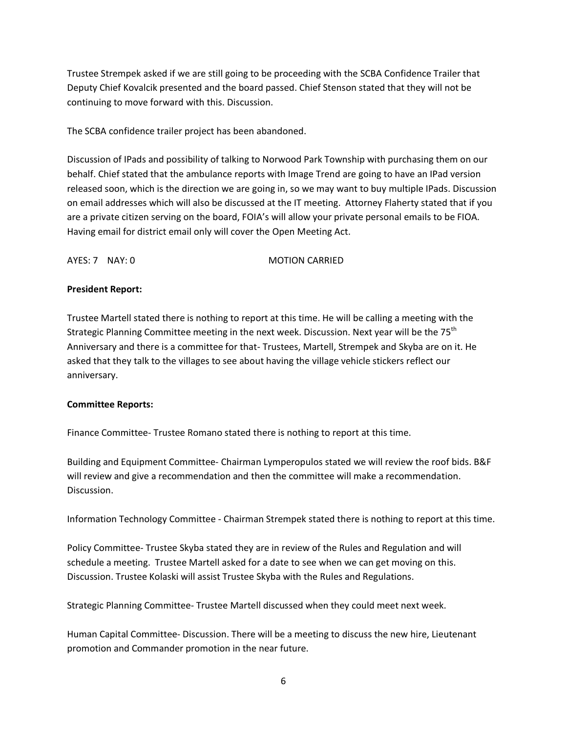Trustee Strempek asked if we are still going to be proceeding with the SCBA Confidence Trailer that Deputy Chief Kovalcik presented and the board passed. Chief Stenson stated that they will not be continuing to move forward with this. Discussion.

The SCBA confidence trailer project has been abandoned.

Discussion of IPads and possibility of talking to Norwood Park Township with purchasing them on our behalf. Chief stated that the ambulance reports with Image Trend are going to have an IPad version released soon, which is the direction we are going in, so we may want to buy multiple IPads. Discussion on email addresses which will also be discussed at the IT meeting. Attorney Flaherty stated that if you are a private citizen serving on the board, FOIA's will allow your private personal emails to be FIOA. Having email for district email only will cover the Open Meeting Act.

AYES: 7 NAY: 0 MOTION CARRIED

### **President Report:**

Trustee Martell stated there is nothing to report at this time. He will be calling a meeting with the Strategic Planning Committee meeting in the next week. Discussion. Next year will be the 75<sup>th</sup> Anniversary and there is a committee for that- Trustees, Martell, Strempek and Skyba are on it. He asked that they talk to the villages to see about having the village vehicle stickers reflect our anniversary.

#### **Committee Reports:**

Finance Committee- Trustee Romano stated there is nothing to report at this time.

Building and Equipment Committee- Chairman Lymperopulos stated we will review the roof bids. B&F will review and give a recommendation and then the committee will make a recommendation. Discussion.

Information Technology Committee - Chairman Strempek stated there is nothing to report at this time.

Policy Committee- Trustee Skyba stated they are in review of the Rules and Regulation and will schedule a meeting. Trustee Martell asked for a date to see when we can get moving on this. Discussion. Trustee Kolaski will assist Trustee Skyba with the Rules and Regulations.

Strategic Planning Committee- Trustee Martell discussed when they could meet next week.

Human Capital Committee- Discussion. There will be a meeting to discuss the new hire, Lieutenant promotion and Commander promotion in the near future.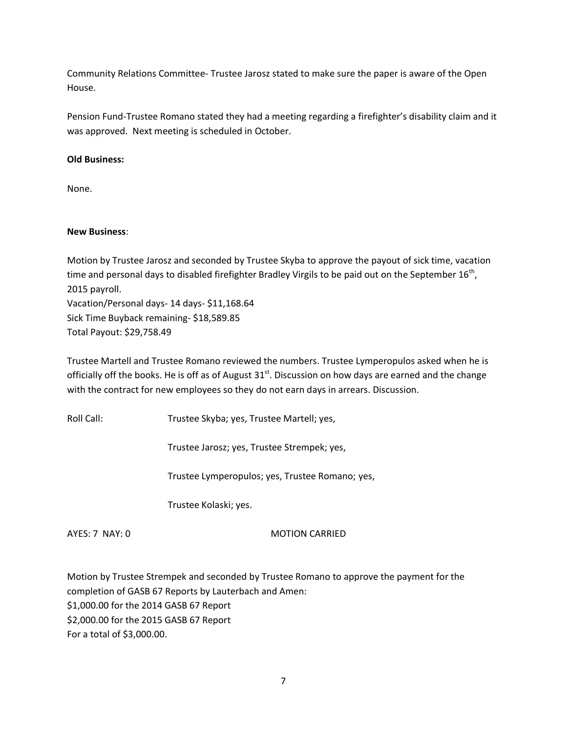Community Relations Committee- Trustee Jarosz stated to make sure the paper is aware of the Open House.

Pension Fund-Trustee Romano stated they had a meeting regarding a firefighter's disability claim and it was approved. Next meeting is scheduled in October.

# **Old Business:**

None.

## **New Business**:

Motion by Trustee Jarosz and seconded by Trustee Skyba to approve the payout of sick time, vacation time and personal days to disabled firefighter Bradley Virgils to be paid out on the September 16<sup>th</sup>, 2015 payroll. Vacation/Personal days- 14 days- \$11,168.64 Sick Time Buyback remaining- \$18,589.85 Total Payout: \$29,758.49

Trustee Martell and Trustee Romano reviewed the numbers. Trustee Lymperopulos asked when he is officially off the books. He is off as of August  $31^{st}$ . Discussion on how days are earned and the change with the contract for new employees so they do not earn days in arrears. Discussion.

Roll Call: Trustee Skyba; yes, Trustee Martell; yes,

Trustee Jarosz; yes, Trustee Strempek; yes,

Trustee Lymperopulos; yes, Trustee Romano; yes,

Trustee Kolaski; yes.

AYES: 7 NAY: 0 MOTION CARRIED

Motion by Trustee Strempek and seconded by Trustee Romano to approve the payment for the completion of GASB 67 Reports by Lauterbach and Amen: \$1,000.00 for the 2014 GASB 67 Report \$2,000.00 for the 2015 GASB 67 Report For a total of \$3,000.00.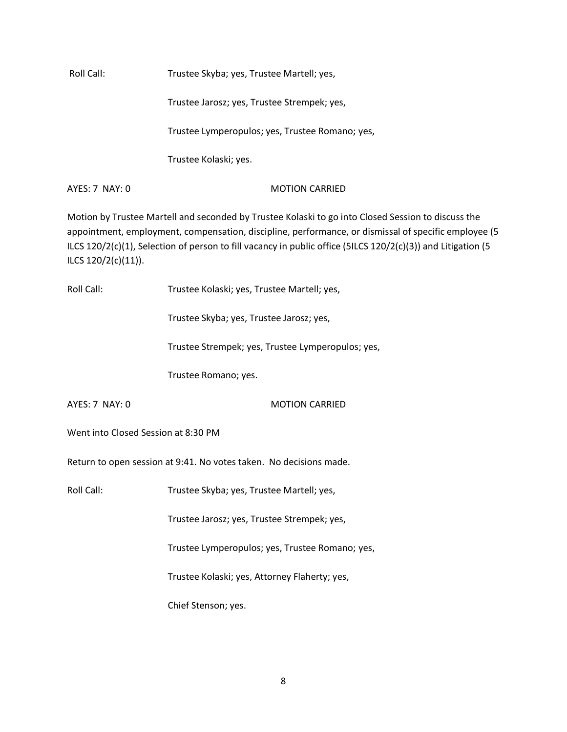Roll Call: Trustee Skyba; yes, Trustee Martell; yes,

Trustee Jarosz; yes, Trustee Strempek; yes,

Trustee Lymperopulos; yes, Trustee Romano; yes,

Trustee Kolaski; yes.

AYES: 7 NAY: 0 MOTION CARRIED

Motion by Trustee Martell and seconded by Trustee Kolaski to go into Closed Session to discuss the appointment, employment, compensation, discipline, performance, or dismissal of specific employee (5 ILCS 120/2(c)(1), Selection of person to fill vacancy in public office (5ILCS 120/2(c)(3)) and Litigation (5 ILCS 120/2(c)(11)).

| Roll Call:                                                         | Trustee Kolaski; yes, Trustee Martell; yes,       |  |
|--------------------------------------------------------------------|---------------------------------------------------|--|
|                                                                    | Trustee Skyba; yes, Trustee Jarosz; yes,          |  |
|                                                                    | Trustee Strempek; yes, Trustee Lymperopulos; yes, |  |
|                                                                    | Trustee Romano; yes.                              |  |
| AYES: 7 NAY: 0                                                     | <b>MOTION CARRIED</b>                             |  |
| Went into Closed Session at 8:30 PM                                |                                                   |  |
| Return to open session at 9:41. No votes taken. No decisions made. |                                                   |  |
| <b>Roll Call:</b>                                                  | Trustee Skyba; yes, Trustee Martell; yes,         |  |
|                                                                    | Trustee Jarosz; yes, Trustee Strempek; yes,       |  |
|                                                                    | Trustee Lymperopulos; yes, Trustee Romano; yes,   |  |
|                                                                    | Trustee Kolaski; yes, Attorney Flaherty; yes,     |  |
|                                                                    | Chief Stenson; yes.                               |  |